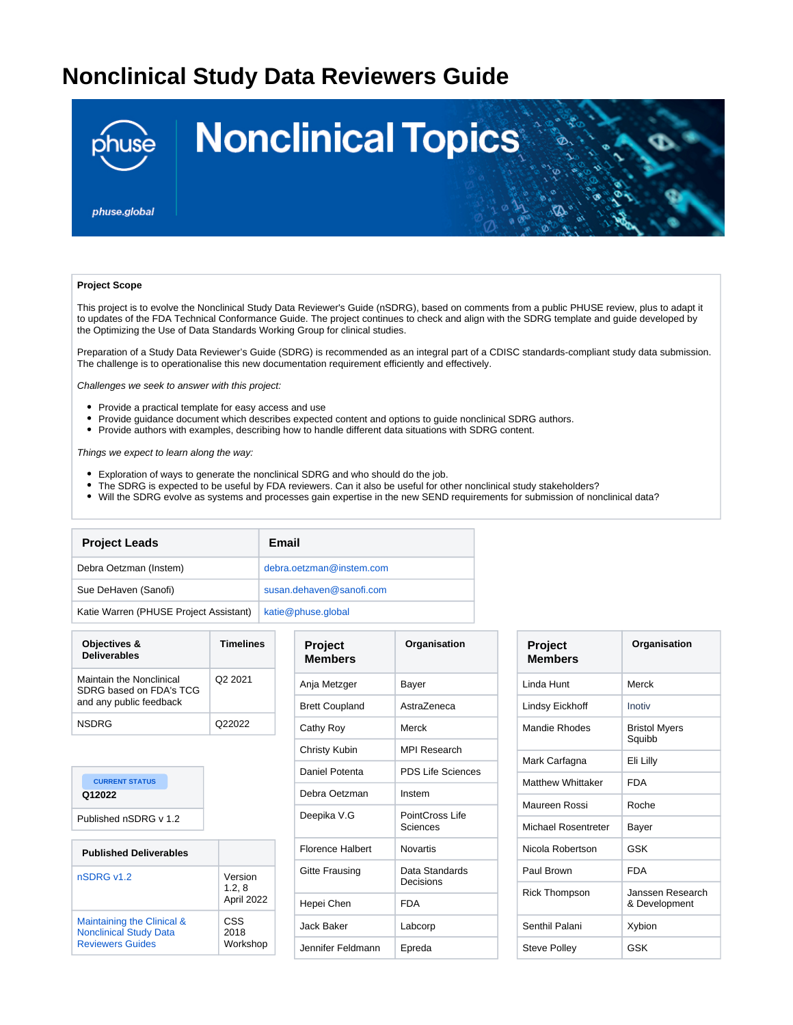## **Nonclinical Study Data Reviewers Guide**



## **Project Scope**

This project is to evolve the Nonclinical Study Data Reviewer's Guide (nSDRG), based on comments from a public PHUSE review, plus to adapt it to updates of the FDA Technical Conformance Guide. The project continues to check and align with the SDRG template and guide developed by the Optimizing the Use of Data Standards Working Group for clinical studies.

Preparation of a Study Data Reviewer's Guide (SDRG) is recommended as an integral part of a CDISC standards-compliant study data submission. The challenge is to operationalise this new documentation requirement efficiently and effectively.

Challenges we seek to answer with this project:

- Provide a practical template for easy access and use
- Provide guidance document which describes expected content and options to guide nonclinical SDRG authors.
- Provide authors with examples, describing how to handle different data situations with SDRG content.

Things we expect to learn along the way:

- Exploration of ways to generate the nonclinical SDRG and who should do the job.
- The SDRG is expected to be useful by FDA reviewers. Can it also be useful for other nonclinical study stakeholders?
- Will the SDRG evolve as systems and processes gain expertise in the new SEND requirements for submission of nonclinical data?

| <b>Project Leads</b>                   | Email                    |
|----------------------------------------|--------------------------|
| Debra Oetzman (Instem)                 | debra.oetzman@instem.com |
| Sue DeHaven (Sanofi)                   | susan.dehaven@sanofi.com |
| Katie Warren (PHUSE Project Assistant) | katie@phuse.global       |

| Objectives &<br><b>Deliverables</b>                                            | <b>Timelines</b> |
|--------------------------------------------------------------------------------|------------------|
| Maintain the Nonclinical<br>SDRG based on FDA's TCG<br>and any public feedback | O2 2021          |
| <b>NSDRG</b>                                                                   | Q22022           |

| <b>CURRENT STATUS</b><br>Q12022<br>Published nSDRG v 1.2                               |                                 |
|----------------------------------------------------------------------------------------|---------------------------------|
| <b>Published Deliverables</b>                                                          |                                 |
| nSDRG v1.2                                                                             | Version<br>1.2, 8<br>April 2022 |
| Maintaining the Clinical &<br><b>Nonclinical Study Data</b><br><b>Reviewers Guides</b> | CSS<br>2018<br>Workshop         |

| <b>Project</b><br><b>Members</b> | Organisation                |
|----------------------------------|-----------------------------|
| Anja Metzger                     | Bayer                       |
| <b>Brett Coupland</b>            | Astra7eneca                 |
| Cathy Roy                        | Merck                       |
| Christy Kubin                    | <b>MPI Research</b>         |
| Daniel Potenta                   | <b>PDS Life Sciences</b>    |
| Debra Oetzman                    | Instem                      |
| Deepika V.G                      | PointCross Life<br>Sciences |
| <b>Florence Halbert</b>          | Novartis                    |
| Gitte Frausing                   | Data Standards<br>Decisions |
| Hepei Chen                       | FDA                         |
| Jack Baker                       | Labcorp                     |
| Jennifer Feldmann                | Epreda                      |

| <b>Project</b><br><b>Members</b> | Organisation                      |
|----------------------------------|-----------------------------------|
| Linda Hunt                       | Merck                             |
| Lindsy Eickhoff                  | Inotiv                            |
| Mandie Rhodes                    | <b>Bristol Myers</b><br>Squibb    |
| Mark Carfagna                    | Eli Lilly                         |
| <b>Matthew Whittaker</b>         | <b>FDA</b>                        |
| Maureen Rossi                    | Roche                             |
| Michael Rosentreter              | Bayer                             |
| Nicola Robertson                 | GSK                               |
| Paul Brown                       | <b>FDA</b>                        |
| <b>Rick Thompson</b>             | Janssen Research<br>& Development |
| Senthil Palani                   | Xybion                            |
| <b>Steve Polley</b>              | GSK                               |